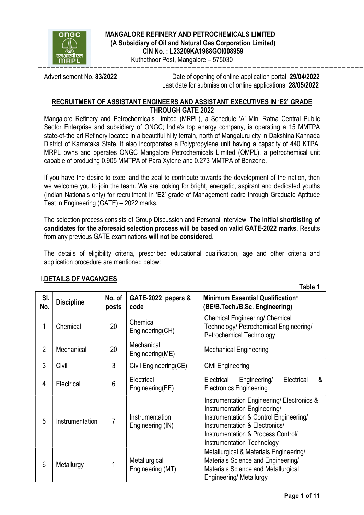

### MANGALORE REFINERY AND PETROCHEMICALS LIMITED (A Subsidiary of Oil and Natural Gas Corporation Limited) CIN No. : L23209KA1988GOI008959

Kuthethoor Post, Mangalore – 575030

Advertisement No. 83/2022 Date of opening of online application portal: 29/04/2022 Last date for submission of online applications: 28/05/2022

### RECRUITMENT OF ASSISTANT ENGINEERS AND ASSISTANT EXECUTIVES IN 'E2' GRADE THROUGH GATE 2022

Mangalore Refinery and Petrochemicals Limited (MRPL), a Schedule 'A' Mini Ratna Central Public Sector Enterprise and subsidiary of ONGC; India's top energy company, is operating a 15 MMTPA state-of-the art Refinery located in a beautiful hilly terrain, north of Mangaluru city in Dakshina Kannada District of Karnataka State. It also incorporates a Polypropylene unit having a capacity of 440 KTPA. MRPL owns and operates ONGC Mangalore Petrochemicals Limited (OMPL), a petrochemical unit capable of producing 0.905 MMTPA of Para Xylene and 0.273 MMTPA of Benzene.

If you have the desire to excel and the zeal to contribute towards the development of the nation, then we welcome you to join the team. We are looking for bright, energetic, aspirant and dedicated youths (Indian Nationals only) for recruitment in 'E2' grade of Management cadre through Graduate Aptitude Test in Engineering (GATE) – 2022 marks.

The selection process consists of Group Discussion and Personal Interview. The initial shortlisting of candidates for the aforesaid selection process will be based on valid GATE-2022 marks. Results from any previous GATE examinations will not be considered.

The details of eligibility criteria, prescribed educational qualification, age and other criteria and application procedure are mentioned below:

|                |                   |                 |                                     | Table T                                                                                                                                                                                                                           |
|----------------|-------------------|-----------------|-------------------------------------|-----------------------------------------------------------------------------------------------------------------------------------------------------------------------------------------------------------------------------------|
| SI.<br>No.     | <b>Discipline</b> | No. of<br>posts | GATE-2022 papers &<br>code          | <b>Minimum Essential Qualification*</b><br>(BE/B.Tech./B.Sc. Engineering)                                                                                                                                                         |
| 1              | Chemical          | 20              | Chemical<br>Engineering(CH)         | <b>Chemical Engineering/ Chemical</b><br>Technology/ Petrochemical Engineering/<br><b>Petrochemical Technology</b>                                                                                                                |
| $\overline{2}$ | Mechanical        | 20              | Mechanical<br>Engineering(ME)       | <b>Mechanical Engineering</b>                                                                                                                                                                                                     |
| 3              | Civil             | 3               | Civil Engineering(CE)               | Civil Engineering                                                                                                                                                                                                                 |
| $\overline{4}$ | Electrical        | 6               | Electrical<br>Engineering(EE)       | &<br>Electrical<br>Engineering/<br>Electrical<br><b>Electronics Engineering</b>                                                                                                                                                   |
| 5              | Instrumentation   | 7               | Instrumentation<br>Engineering (IN) | Instrumentation Engineering/ Electronics &<br>Instrumentation Engineering/<br>Instrumentation & Control Engineering/<br>Instrumentation & Electronics/<br>Instrumentation & Process Control/<br><b>Instrumentation Technology</b> |
| $6\phantom{1}$ | Metallurgy        |                 | Metallurgical<br>Engineering (MT)   | Metallurgical & Materials Engineering/<br>Materials Science and Engineering/<br>Materials Science and Metallurgical<br>Engineering/ Metallurgy                                                                                    |

# I.DETAILS OF VACANCIES

Table 1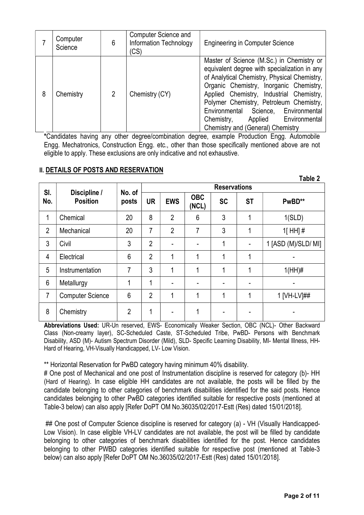|   | Computer<br>Science | 6              | <b>Computer Science and</b><br><b>Information Technology</b><br>(CS) | <b>Engineering in Computer Science</b>                                                                                                                                                                                                                                                                                                                                                             |
|---|---------------------|----------------|----------------------------------------------------------------------|----------------------------------------------------------------------------------------------------------------------------------------------------------------------------------------------------------------------------------------------------------------------------------------------------------------------------------------------------------------------------------------------------|
| 8 | Chemistry           | $\overline{2}$ | Chemistry (CY)                                                       | Master of Science (M.Sc.) in Chemistry or<br>equivalent degree with specialization in any<br>of Analytical Chemistry, Physical Chemistry,<br>Organic Chemistry, Inorganic Chemistry,<br>Applied Chemistry, Industrial Chemistry,<br>Polymer Chemistry, Petroleum Chemistry,<br>Science, Environmental<br>Environmental<br>Applied Environmental<br>Chemistry,<br>Chemistry and (General) Chemistry |

\*Candidates having any other degree/combination degree, example Production Engg. Automobile Engg. Mechatronics, Construction Engg. etc., other than those specifically mentioned above are not eligible to apply. These exclusions are only indicative and not exhaustive.

### **II. DETAILS OF POSTS AND RESERVATION**

|                |                                 |                 |                     |                |                     |           |           | Table 2             |
|----------------|---------------------------------|-----------------|---------------------|----------------|---------------------|-----------|-----------|---------------------|
| SI.<br>No.     | Discipline /<br><b>Position</b> | No. of<br>posts | <b>Reservations</b> |                |                     |           |           |                     |
|                |                                 |                 | <b>UR</b>           | <b>EWS</b>     | <b>OBC</b><br>(NCL) | <b>SC</b> | <b>ST</b> | PwBD**              |
| 1              | Chemical                        | 20              | 8                   | $\overline{2}$ | 6                   | 3         | 1         | 1(SLD)              |
| $\overline{2}$ | Mechanical                      | 20              | 7                   | $\overline{2}$ | 7                   | 3         | 1         | $1$ [HH]#           |
| 3              | Civil                           | 3               | $\overline{2}$      |                |                     | 1         |           | 1 [ASD (M)/SLD/ MI] |
| 4              | Electrical                      | $6\phantom{1}6$ | $\overline{2}$      | 4              | 1                   | 4         | 1         |                     |
| 5              | Instrumentation                 | 7               | 3                   |                | 1                   | 1         | 1         | $1(HH)\#$           |
| 6              | Metallurgy                      | 1               | 1                   |                |                     |           |           |                     |
| 7              | <b>Computer Science</b>         | 6               | $\overline{2}$      | 4              | 1                   | 4         | 1         | 1 [VH-LV]##         |
| 8              | Chemistry                       | $\overline{2}$  | 1                   |                | 1                   |           |           |                     |

Abbreviations Used: UR-Un reserved, EWS- Economically Weaker Section, OBC (NCL)- Other Backward Class (Non-creamy layer), SC-Scheduled Caste, ST-Scheduled Tribe, PwBD- Persons with Benchmark Disability, ASD (M)- Autism Spectrum Disorder (Mild), SLD- Specific Learning Disability, MI- Mental Illness, HH-Hard of Hearing, VH-Visually Handicapped, LV- Low Vision.

\*\* Horizontal Reservation for PwBD category having minimum 40% disability.

# One post of Mechanical and one post of Instrumentation discipline is reserved for category (b)- HH (Hard of Hearing). In case eligible HH candidates are not available, the posts will be filled by the candidate belonging to other categories of benchmark disabilities identified for the said posts. Hence candidates belonging to other PwBD categories identified suitable for respective posts (mentioned at Table-3 below) can also apply [Refer DoPT OM No.36035/02/2017-Estt (Res) dated 15/01/2018].

## One post of Computer Science discipline is reserved for category (a) - VH (Visually Handicapped-Low Vision). In case eligible VH-LV candidates are not available, the post will be filled by candidate belonging to other categories of benchmark disabilities identified for the post. Hence candidates belonging to other PWBD categories identified suitable for respective post (mentioned at Table-3 below) can also apply [Refer DoPT OM No.36035/02/2017-Estt (Res) dated 15/01/2018].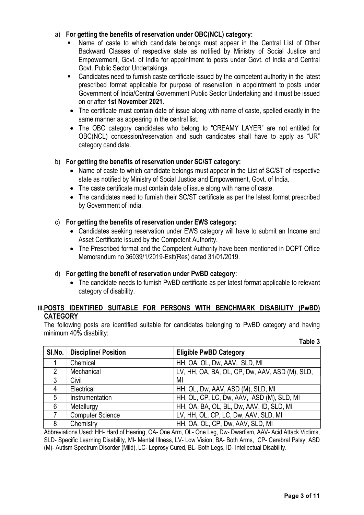### a) For getting the benefits of reservation under OBC(NCL) category:

- Name of caste to which candidate belongs must appear in the Central List of Other Backward Classes of respective state as notified by Ministry of Social Justice and Empowerment, Govt. of India for appointment to posts under Govt. of India and Central Govt. Public Sector Undertakings.
- Candidates need to furnish caste certificate issued by the competent authority in the latest prescribed format applicable for purpose of reservation in appointment to posts under Government of India/Central Government Public Sector Undertaking and it must be issued on or after 1st November 2021.
- The certificate must contain date of issue along with name of caste, spelled exactly in the same manner as appearing in the central list.
- The OBC category candidates who belong to "CREAMY LAYER" are not entitled for OBC(NCL) concession/reservation and such candidates shall have to apply as "UR" category candidate.

#### b) For getting the benefits of reservation under SC/ST category:

- Name of caste to which candidate belongs must appear in the List of SC/ST of respective state as notified by Ministry of Social Justice and Empowerment, Govt. of India.
- The caste certificate must contain date of issue along with name of caste.
- The candidates need to furnish their SC/ST certificate as per the latest format prescribed by Government of India.

#### c) For getting the benefits of reservation under EWS category:

- Candidates seeking reservation under EWS category will have to submit an Income and Asset Certificate issued by the Competent Authority.
- The Prescribed format and the Competent Authority have been mentioned in DOPT Office Memorandum no 36039/1/2019-Estt(Res) dated 31/01/2019.

### d) For getting the benefit of reservation under PwBD category:

 The candidate needs to furnish PwBD certificate as per latest format applicable to relevant category of disability.

### III.POSTS IDENTIFIED SUITABLE FOR PERSONS WITH BENCHMARK DISABILITY (PwBD) **CATEGORY**

The following posts are identified suitable for candidates belonging to PwBD category and having minimum 40% disability:

| SI.No.         | <b>Discipline/Position</b> | <b>Eligible PwBD Category</b>                  |
|----------------|----------------------------|------------------------------------------------|
|                | Chemical                   | HH, OA, OL, Dw, AAV, SLD, MI                   |
| $\overline{2}$ | Mechanical                 | LV, HH, OA, BA, OL, CP, Dw, AAV, ASD (M), SLD, |
| 3              | Civil                      | MI                                             |
| 4              | Electrical                 | HH, OL, Dw, AAV, ASD (M), SLD, MI              |
| 5              | Instrumentation            | HH, OL, CP, LC, Dw, AAV, ASD (M), SLD, MI      |
| 6              | Metallurgy                 | HH, OA, BA, OL, BL, Dw, AAV, ID, SLD, MI       |
|                | <b>Computer Science</b>    | LV, HH, OL, CP, LC, Dw, AAV, SLD, MI           |
| 8              | Chemistry                  | HH, OA, OL, CP, Dw, AAV, SLD, MI               |

Abbreviations Used: HH- Hard of Hearing, OA- One Arm, OL- One Leg, Dw- Dwarfism, AAV- Acid Attack Victims, SLD- Specific Learning Disability, MI- Mental Illness, LV- Low Vision, BA- Both Arms, CP- Cerebral Palsy, ASD (M)- Autism Spectrum Disorder (Mild), LC- Leprosy Cured, BL- Both Legs, ID- Intellectual Disability.

Table 3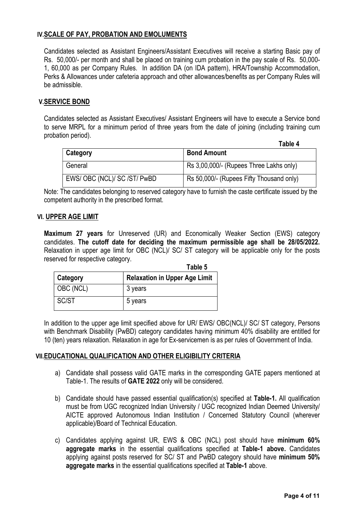### IV.SCALE OF PAY, PROBATION AND EMOLUMENTS

Candidates selected as Assistant Engineers/Assistant Executives will receive a starting Basic pay of Rs. 50,000/- per month and shall be placed on training cum probation in the pay scale of Rs. 50,000- 1, 60,000 as per Company Rules. In addition DA (on IDA pattern), HRA/Township Accommodation, Perks & Allowances under cafeteria approach and other allowances/benefits as per Company Rules will be admissible.

### V.SERVICE BOND

Candidates selected as Assistant Executives/ Assistant Engineers will have to execute a Service bond to serve MRPL for a minimum period of three years from the date of joining (including training cum probation period).

|                             | Table 4                                  |
|-----------------------------|------------------------------------------|
| Category                    | <b>Bond Amount</b>                       |
| General                     | Rs 3,00,000/- (Rupees Three Lakhs only)  |
| EWS/OBC (NCL)/ SC /ST/ PwBD | Rs 50,000/- (Rupees Fifty Thousand only) |

Note: The candidates belonging to reserved category have to furnish the caste certificate issued by the competent authority in the prescribed format.

#### VI. UPPER AGE LIMIT

Maximum 27 years for Unreserved (UR) and Economically Weaker Section (EWS) category candidates. The cutoff date for deciding the maximum permissible age shall be 28/05/2022. Relaxation in upper age limit for OBC (NCL)/ SC/ ST category will be applicable only for the posts reserved for respective category.

|           | Table 5                              |
|-----------|--------------------------------------|
| Category  | <b>Relaxation in Upper Age Limit</b> |
| OBC (NCL) | 3 years                              |
| SC/ST     | 5 years                              |

In addition to the upper age limit specified above for UR/ EWS/ OBC(NCL)/ SC/ ST category, Persons with Benchmark Disability (PwBD) category candidates having minimum 40% disability are entitled for 10 (ten) years relaxation. Relaxation in age for Ex-servicemen is as per rules of Government of India.

### VII.EDUCATIONAL QUALIFICATION AND OTHER ELIGIBILITY CRITERIA

- a) Candidate shall possess valid GATE marks in the corresponding GATE papers mentioned at Table-1. The results of GATE 2022 only will be considered.
- b) Candidate should have passed essential qualification(s) specified at Table-1. All qualification must be from UGC recognized Indian University / UGC recognized Indian Deemed University/ AICTE approved Autonomous Indian Institution / Concerned Statutory Council (wherever applicable)/Board of Technical Education.
- c) Candidates applying against UR, EWS & OBC (NCL) post should have minimum 60% aggregate marks in the essential qualifications specified at Table-1 above. Candidates applying against posts reserved for SC/ ST and PwBD category should have minimum 50% aggregate marks in the essential qualifications specified at Table-1 above.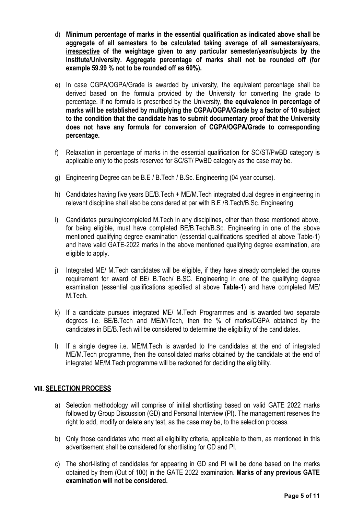- d) Minimum percentage of marks in the essential qualification as indicated above shall be aggregate of all semesters to be calculated taking average of all semesters/years, irrespective of the weightage given to any particular semester/year/subjects by the Institute/University. Aggregate percentage of marks shall not be rounded off (for example 59.99 % not to be rounded off as 60%).
- e) In case CGPA/OGPA/Grade is awarded by university, the equivalent percentage shall be derived based on the formula provided by the University for converting the grade to percentage. If no formula is prescribed by the University, the equivalence in percentage of marks will be established by multiplying the CGPA/OGPA/Grade by a factor of 10 subject to the condition that the candidate has to submit documentary proof that the University does not have any formula for conversion of CGPA/OGPA/Grade to corresponding percentage.
- f) Relaxation in percentage of marks in the essential qualification for SC/ST/PwBD category is applicable only to the posts reserved for SC/ST/ PwBD category as the case may be.
- g) Engineering Degree can be B.E / B.Tech / B.Sc. Engineering (04 year course).
- h) Candidates having five years BE/B.Tech + ME/M.Tech integrated dual degree in engineering in relevant discipline shall also be considered at par with B.E /B.Tech/B.Sc. Engineering.
- i) Candidates pursuing/completed M.Tech in any disciplines, other than those mentioned above, for being eligible, must have completed BE/B.Tech/B.Sc. Engineering in one of the above mentioned qualifying degree examination (essential qualifications specified at above Table-1) and have valid GATE-2022 marks in the above mentioned qualifying degree examination, are eligible to apply.
- j) Integrated ME/ M.Tech candidates will be eligible, if they have already completed the course requirement for award of BE/ B.Tech/ B.SC. Engineering in one of the qualifying degree examination (essential qualifications specified at above Table-1) and have completed ME/ M.Tech.
- k) If a candidate pursues integrated ME/ M.Tech Programmes and is awarded two separate degrees i.e. BE/B.Tech and ME/M/Tech, then the % of marks/CGPA obtained by the candidates in BE/B.Tech will be considered to determine the eligibility of the candidates.
- l) If a single degree i.e. ME/M.Tech is awarded to the candidates at the end of integrated ME/M.Tech programme, then the consolidated marks obtained by the candidate at the end of integrated ME/M.Tech programme will be reckoned for deciding the eligibility.

### VIII. SELECTION PROCESS

- a) Selection methodology will comprise of initial shortlisting based on valid GATE 2022 marks followed by Group Discussion (GD) and Personal Interview (PI). The management reserves the right to add, modify or delete any test, as the case may be, to the selection process.
- b) Only those candidates who meet all eligibility criteria, applicable to them, as mentioned in this advertisement shall be considered for shortlisting for GD and PI.
- c) The short-listing of candidates for appearing in GD and PI will be done based on the marks obtained by them (Out of 100) in the GATE 2022 examination. Marks of any previous GATE examination will not be considered.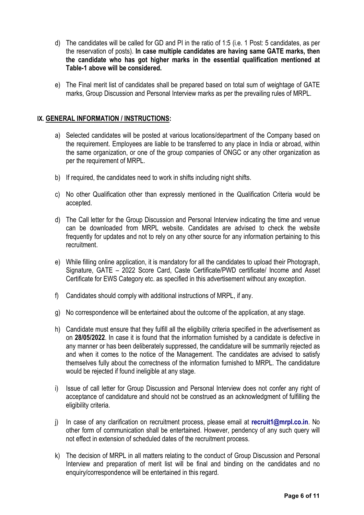- d) The candidates will be called for GD and PI in the ratio of 1:5 (i.e. 1 Post: 5 candidates, as per the reservation of posts). In case multiple candidates are having same GATE marks, then the candidate who has got higher marks in the essential qualification mentioned at Table-1 above will be considered.
- e) The Final merit list of candidates shall be prepared based on total sum of weightage of GATE marks, Group Discussion and Personal Interview marks as per the prevailing rules of MRPL.

#### IX. GENERAL INFORMATION / INSTRUCTIONS:

- a) Selected candidates will be posted at various locations/department of the Company based on the requirement. Employees are liable to be transferred to any place in India or abroad, within the same organization, or one of the group companies of ONGC or any other organization as per the requirement of MRPL.
- b) If required, the candidates need to work in shifts including night shifts.
- c) No other Qualification other than expressly mentioned in the Qualification Criteria would be accepted.
- d) The Call letter for the Group Discussion and Personal Interview indicating the time and venue can be downloaded from MRPL website. Candidates are advised to check the website frequently for updates and not to rely on any other source for any information pertaining to this recruitment.
- e) While filling online application, it is mandatory for all the candidates to upload their Photograph, Signature, GATE – 2022 Score Card, Caste Certificate/PWD certificate/ Income and Asset Certificate for EWS Category etc. as specified in this advertisement without any exception.
- f) Candidates should comply with additional instructions of MRPL, if any.
- g) No correspondence will be entertained about the outcome of the application, at any stage.
- h) Candidate must ensure that they fulfill all the eligibility criteria specified in the advertisement as on 28/05/2022. In case it is found that the information furnished by a candidate is defective in any manner or has been deliberately suppressed, the candidature will be summarily rejected as and when it comes to the notice of the Management. The candidates are advised to satisfy themselves fully about the correctness of the information furnished to MRPL. The candidature would be rejected if found ineligible at any stage.
- i) Issue of call letter for Group Discussion and Personal Interview does not confer any right of acceptance of candidature and should not be construed as an acknowledgment of fulfilling the eligibility criteria.
- j) In case of any clarification on recruitment process, please email at recruit1@mrpl.co.in. No other form of communication shall be entertained. However, pendency of any such query will not effect in extension of scheduled dates of the recruitment process.
- k) The decision of MRPL in all matters relating to the conduct of Group Discussion and Personal Interview and preparation of merit list will be final and binding on the candidates and no enquiry/correspondence will be entertained in this regard.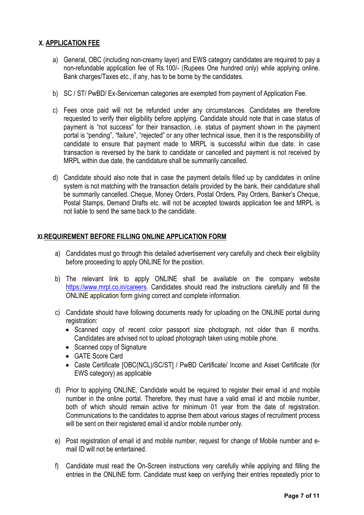## X. APPLICATION FEE

- a) General, OBC (including non-creamy layer) and EWS category candidates are required to pay a non-refundable application fee of Rs.100/- (Rupees One hundred only) while applying online. Bank charges/Taxes etc., if any, has to be borne by the candidates.
- b) SC / ST/ PwBD/ Ex-Serviceman categories are exempted from payment of Application Fee.
- c) Fees once paid will not be refunded under any circumstances. Candidates are therefore requested to verify their eligibility before applying. Candidate should note that in case status of payment is "not success" for their transaction, i.e. status of payment shown in the payment portal is "pending", "failure", "rejected" or any other technical issue, then it is the responsibility of candidate to ensure that payment made to MRPL is successful within due date. In case transaction is reversed by the bank to candidate or cancelled and payment is not received by MRPL within due date, the candidature shall be summarily cancelled.
- d) Candidate should also note that in case the payment details filled up by candidates in online system is not matching with the transaction details provided by the bank, their candidature shall be summarily cancelled. Cheque, Money Orders, Postal Orders, Pay Orders, Banker's Cheque, Postal Stamps, Demand Drafts etc. will not be accepted towards application fee and MRPL is not liable to send the same back to the candidate.

#### XI.REQUIREMENT BEFORE FILLING ONLINE APPLICATION FORM

- a) Candidates must go through this detailed advertisement very carefully and check their eligibility before proceeding to apply ONLINE for the position.
- b) The relevant link to apply ONLINE shall be available on the company website https://www.mrpl.co.in/careers. Candidates should read the instructions carefully and fill the ONLINE application form giving correct and complete information.
- c) Candidate should have following documents ready for uploading on the ONLINE portal during registration:
	- Scanned copy of recent color passport size photograph, not older than 6 months. Candidates are advised not to upload photograph taken using mobile phone.
	- Scanned copy of Signature
	- GATE Score Card
	- Caste Certificate [OBC(NCL)/SC/ST] / PwBD Certificate/ Income and Asset Certificate (for EWS category) as applicable
- d) Prior to applying ONLINE, Candidate would be required to register their email id and mobile number in the online portal. Therefore, they must have a valid email id and mobile number, both of which should remain active for minimum 01 year from the date of registration. Communications to the candidates to apprise them about various stages of recruitment process will be sent on their registered email id and/or mobile number only.
- e) Post registration of email id and mobile number, request for change of Mobile number and email ID will not be entertained.
- f) Candidate must read the On-Screen instructions very carefully while applying and filling the entries in the ONLINE form. Candidate must keep on verifying their entries repeatedly prior to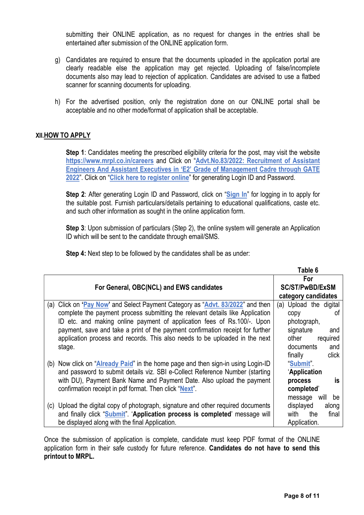submitting their ONLINE application, as no request for changes in the entries shall be entertained after submission of the ONLINE application form.

- g) Candidates are required to ensure that the documents uploaded in the application portal are clearly readable else the application may get rejected. Uploading of false/incomplete documents also may lead to rejection of application. Candidates are advised to use a flatbed scanner for scanning documents for uploading.
- h) For the advertised position, only the registration done on our ONLINE portal shall be acceptable and no other mode/format of application shall be acceptable.

#### XII.HOW TO APPLY

Step 1: Candidates meeting the prescribed eligibility criteria for the post, may visit the website https://www.mrpl.co.in/careers and Click on "Advt.No.83/2022: Recruitment of Assistant Engineers And Assistant Executives in 'E2' Grade of Management Cadre through GATE 2022". Click on "Click here to register online" for generating Login ID and Password.

Step 2: After generating Login ID and Password, click on "Sign In" for logging in to apply for the suitable post. Furnish particulars/details pertaining to educational qualifications, caste etc. and such other information as sought in the online application form.

Step 3: Upon submission of particulars (Step 2), the online system will generate an Application ID which will be sent to the candidate through email/SMS.

Step 4: Next step to be followed by the candidates shall be as under:

|                                                                                     | Table 6                |
|-------------------------------------------------------------------------------------|------------------------|
|                                                                                     | For                    |
| For General, OBC(NCL) and EWS candidates                                            | <b>SC/ST/PwBD/ExSM</b> |
|                                                                                     | category candidates    |
| Click on 'Pay Now' and Select Payment Category as "Advt. 83/2022" and then<br>(a)   | (a) Upload the digital |
| complete the payment process submitting the relevant details like Application       | 0t<br>copy             |
| ID etc. and making online payment of application fees of Rs.100/-. Upon             | photograph,            |
| payment, save and take a print of the payment confirmation receipt for further      | signature<br>and       |
| application process and records. This also needs to be uploaded in the next         | required<br>other      |
| stage.                                                                              | documents<br>and       |
|                                                                                     | finally<br>click       |
| Now click on "Already Paid" in the home page and then sign-in using Login-ID<br>(b) | "Submit"               |
| and password to submit details viz. SBI e-Collect Reference Number (starting        | 'Application           |
| with DU), Payment Bank Name and Payment Date. Also upload the payment               | İS<br>process          |
| confirmation receipt in pdf format. Then click "Next".                              | completed'             |
|                                                                                     | be<br>message<br>will  |
| (c) Upload the digital copy of photograph, signature and other required documents   | displayed<br>along     |
| and finally click "Submit" 'Application process is completed' message will          | final<br>with<br>the   |
| be displayed along with the final Application.                                      | Application.           |

Once the submission of application is complete, candidate must keep PDF format of the ONLINE application form in their safe custody for future reference. Candidates do not have to send this printout to MRPL.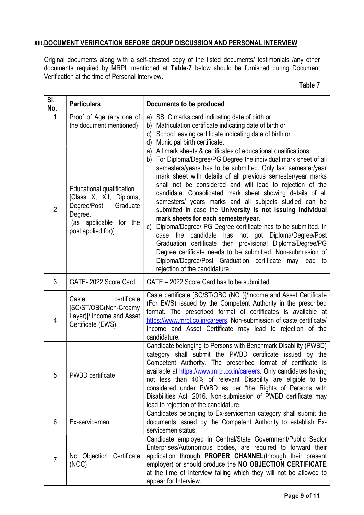## XIII.DOCUMENT VERIFICATION BEFORE GROUP DISCUSSION AND PERSONAL INTERVIEW

Original documents along with a self-attested copy of the listed documents/ testimonials /any other documents required by MRPL mentioned at Table-7 below should be furnished during Document Verification at the time of Personal Interview.

| SI.<br>No.     | <b>Particulars</b>                                                                                                                         | Documents to be produced                                                                                                                                                                                                                                                                                                                                                                                                                                                                                                                                                                                                                                                                                                                                                                                                                                                                                              |  |
|----------------|--------------------------------------------------------------------------------------------------------------------------------------------|-----------------------------------------------------------------------------------------------------------------------------------------------------------------------------------------------------------------------------------------------------------------------------------------------------------------------------------------------------------------------------------------------------------------------------------------------------------------------------------------------------------------------------------------------------------------------------------------------------------------------------------------------------------------------------------------------------------------------------------------------------------------------------------------------------------------------------------------------------------------------------------------------------------------------|--|
| 1              | Proof of Age (any one of<br>the document mentioned)                                                                                        | a) SSLC marks card indicating date of birth or<br>Matriculation certificate indicating date of birth or<br>b)<br>School leaving certificate indicating date of birth or<br>$\mathsf{C}$<br>Municipal birth certificate.<br>d)                                                                                                                                                                                                                                                                                                                                                                                                                                                                                                                                                                                                                                                                                         |  |
| $\overline{2}$ | Educational qualification<br>[Class X, XII, Diploma,<br>Degree/Post<br>Graduate<br>Degree.<br>(as applicable for the<br>post applied for)] | a) All mark sheets & certificates of educational qualifications<br>b) For Diploma/Degree/PG Degree the individual mark sheet of all<br>semesters/years has to be submitted. Only last semester/year<br>mark sheet with details of all previous semester/year marks<br>shall not be considered and will lead to rejection of the<br>candidate. Consolidated mark sheet showing details of all<br>semesters/ years marks and all subjects studied can be<br>submitted in case the University is not issuing individual<br>mark sheets for each semester/year.<br>Diploma/Degree/ PG Degree certificate has to be submitted. In<br>C)<br>candidate has not got Diploma/Degree/Post<br>the<br>case<br>Graduation certificate then provisional Diploma/Degree/PG<br>Degree certificate needs to be submitted. Non-submission of<br>Diploma/Degree/Post Graduation certificate may lead to<br>rejection of the candidature. |  |
| 3              | GATE-2022 Score Card                                                                                                                       | GATE - 2022 Score Card has to be submitted.                                                                                                                                                                                                                                                                                                                                                                                                                                                                                                                                                                                                                                                                                                                                                                                                                                                                           |  |
| 4              | certificate<br>Caste<br>[SC/ST/OBC(Non-Creamy<br>Layer)]/ Income and Asset<br>Certificate (EWS)                                            | Caste certificate [SC/ST/OBC (NCL)]/Income and Asset Certificate<br>(For EWS) issued by the Competent Authority in the prescribed<br>format. The prescribed format of certificates is available at<br>https://www.mrpl.co.in/careers. Non-submission of caste certificate/<br>Income and Asset Certificate may lead to rejection of the<br>candidature.                                                                                                                                                                                                                                                                                                                                                                                                                                                                                                                                                               |  |
| 5              | <b>PWBD</b> certificate                                                                                                                    | Candidate belonging to Persons with Benchmark Disability (PWBD)<br>category shall submit the PWBD certificate issued by the<br>Competent Authority. The prescribed format of certificate is<br>available at https://www.mrpl.co.in/careers. Only candidates having<br>not less than 40% of relevant Disability are eligible to be<br>considered under PWBD as per "the Rights of Persons with<br>Disabilities Act, 2016. Non-submission of PWBD certificate may<br>lead to rejection of the candidature.                                                                                                                                                                                                                                                                                                                                                                                                              |  |
| 6              | Ex-serviceman                                                                                                                              | Candidates belonging to Ex-serviceman category shall submit the<br>documents issued by the Competent Authority to establish Ex-<br>servicemen status.                                                                                                                                                                                                                                                                                                                                                                                                                                                                                                                                                                                                                                                                                                                                                                 |  |
| $\overline{7}$ | No Objection Certificate<br>(NOC)                                                                                                          | Candidate employed in Central/State Government/Public Sector<br>Enterprises/Autonomous bodies, are required to forward their<br>application through PROPER CHANNEL(through their present<br>employer) or should produce the NO OBJECTION CERTIFICATE<br>at the time of Interview failing which they will not be allowed to<br>appear for Interview.                                                                                                                                                                                                                                                                                                                                                                                                                                                                                                                                                                   |  |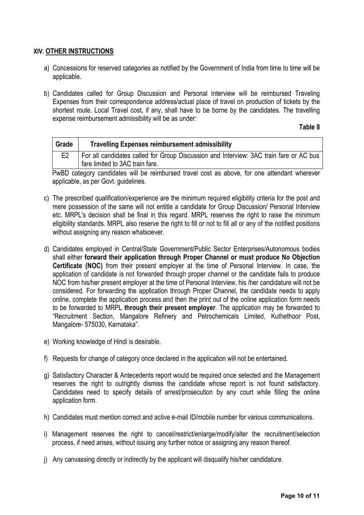#### XIV. OTHER INSTRUCTIONS

- a) Concessions for reserved categories as notified by the Government of India from time to time will be applicable.
- b) Candidates called for Group Discussion and Personal Interview will be reimbursed Traveling Expenses from their correspondence address/actual place of travel on production of tickets by the shortest route. Local Travel cost, if any, shall have to be borne by the candidates. The travelling expense reimbursement admissibility will be as under:

Table 8

| Grade | <b>Travelling Expenses reimbursement admissibility</b>                                 |
|-------|----------------------------------------------------------------------------------------|
|       | For all candidates called for Group Discussion and Interview: 3AC train fare or AC bus |
|       | fare limited to 3AC train fare.                                                        |
|       |                                                                                        |

PwBD category candidates will be reimbursed travel cost as above, for one attendant wherever applicable, as per Govt. guidelines.

- c) The prescribed qualification/experience are the minimum required eligibility criteria for the post and mere possession of the same will not entitle a candidate for Group Discussion/ Personal Interview etc. MRPL's decision shall be final in this regard. MRPL reserves the right to raise the minimum eligibility standards. MRPL also reserve the right to fill or not to fill all or any of the notified positions without assigning any reason whatsoever.
- d) Candidates employed in Central/State Government/Public Sector Enterprises/Autonomous bodies shall either forward their application through Proper Channel or must produce No Objection Certificate (NOC) from their present employer at the time of Personal Interview. In case, the application of candidate is not forwarded through proper channel or the candidate fails to produce NOC from his/her present employer at the time of Personal Interview, his /her candidature will not be considered. For forwarding the application through Proper Channel, the candidate needs to apply online, complete the application process and then the print out of the online application form needs to be forwarded to MRPL through their present employer. The application may be forwarded to "Recruitment Section, Mangalore Refinery and Petrochemicals Limited, Kuthethoor Post, Mangalore- 575030, Karnataka".
- e) Working knowledge of Hindi is desirable.
- f) Requests for change of category once declared in the application will not be entertained.
- g) Satisfactory Character & Antecedents report would be required once selected and the Management reserves the right to outrightly dismiss the candidate whose report is not found satisfactory. Candidates need to specify details of arrest/prosecution by any court while filling the online application form.
- h) Candidates must mention correct and active e-mail ID/mobile number for various communications.
- i) Management reserves the right to cancel/restrict/enlarge/modify/alter the recruitment/selection process, if need arises, without issuing any further notice or assigning any reason thereof.
- j) Any canvassing directly or indirectly by the applicant will disqualify his/her candidature.